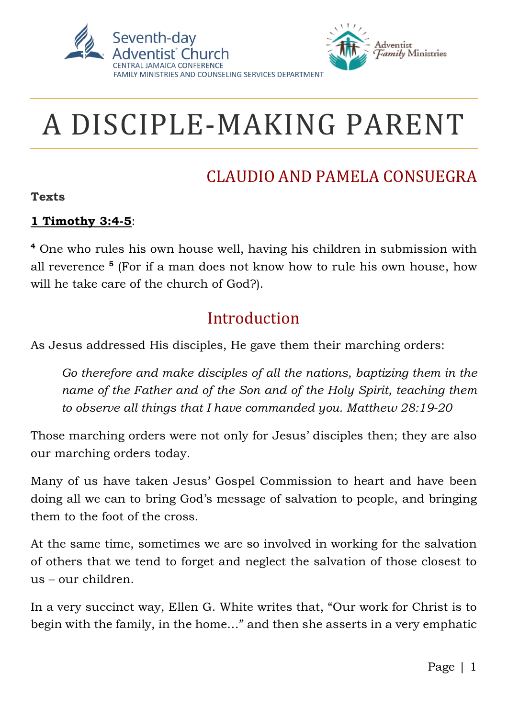



# A DISCIPLE-MAKING PARENT

## CLAUDIO AND PAMELA CONSUEGRA

#### **Texts**

#### **1 Timothy 3:4-5**:

**<sup>4</sup>** One who rules his own house well, having his children in submission with all reverence **<sup>5</sup>** (For if a man does not know how to rule his own house, how will he take care of the church of God?).

#### Introduction

As Jesus addressed His disciples, He gave them their marching orders:

*Go therefore and make disciples of all the nations, baptizing them in the name of the Father and of the Son and of the Holy Spirit, teaching them to observe all things that I have commanded you. Matthew 28:19-20*

Those marching orders were not only for Jesus' disciples then; they are also our marching orders today.

Many of us have taken Jesus' Gospel Commission to heart and have been doing all we can to bring God's message of salvation to people, and bringing them to the foot of the cross.

At the same time, sometimes we are so involved in working for the salvation of others that we tend to forget and neglect the salvation of those closest to us – our children.

In a very succinct way, Ellen G. White writes that, "Our work for Christ is to begin with the family, in the home…" and then she asserts in a very emphatic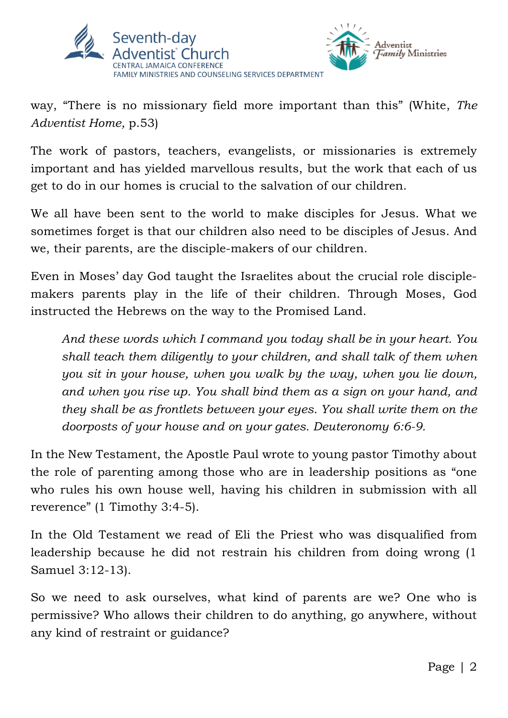



way, "There is no missionary field more important than this" (White, *The Adventist Home,* p.53)

The work of pastors, teachers, evangelists, or missionaries is extremely important and has yielded marvellous results, but the work that each of us get to do in our homes is crucial to the salvation of our children.

We all have been sent to the world to make disciples for Jesus. What we sometimes forget is that our children also need to be disciples of Jesus. And we, their parents, are the disciple-makers of our children.

Even in Moses' day God taught the Israelites about the crucial role disciplemakers parents play in the life of their children. Through Moses, God instructed the Hebrews on the way to the Promised Land.

*And these words which I command you today shall be in your heart. You shall teach them diligently to your children, and shall talk of them when you sit in your house, when you walk by the way, when you lie down, and when you rise up. You shall bind them as a sign on your hand, and they shall be as frontlets between your eyes. You shall write them on the doorposts of your house and on your gates. Deuteronomy 6:6-9.*

In the New Testament, the Apostle Paul wrote to young pastor Timothy about the role of parenting among those who are in leadership positions as "one who rules his own house well, having his children in submission with all reverence" (1 Timothy 3:4-5).

In the Old Testament we read of Eli the Priest who was disqualified from leadership because he did not restrain his children from doing wrong (1 Samuel 3:12-13).

So we need to ask ourselves, what kind of parents are we? One who is permissive? Who allows their children to do anything, go anywhere, without any kind of restraint or guidance?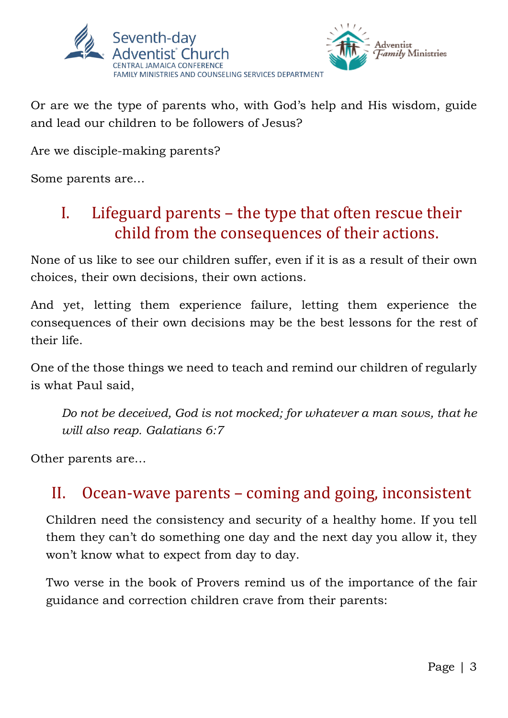



Or are we the type of parents who, with God's help and His wisdom, guide and lead our children to be followers of Jesus?

Are we disciple-making parents?

Some parents are…

#### I. Lifeguard parents – the type that often rescue their child from the consequences of their actions.

None of us like to see our children suffer, even if it is as a result of their own choices, their own decisions, their own actions.

And yet, letting them experience failure, letting them experience the consequences of their own decisions may be the best lessons for the rest of their life.

One of the those things we need to teach and remind our children of regularly is what Paul said,

*Do not be deceived, God is not mocked; for whatever a man sows, that he will also reap. Galatians 6:7*

Other parents are…

#### II. Ocean-wave parents – coming and going, inconsistent

Children need the consistency and security of a healthy home. If you tell them they can't do something one day and the next day you allow it, they won't know what to expect from day to day.

Two verse in the book of Provers remind us of the importance of the fair guidance and correction children crave from their parents: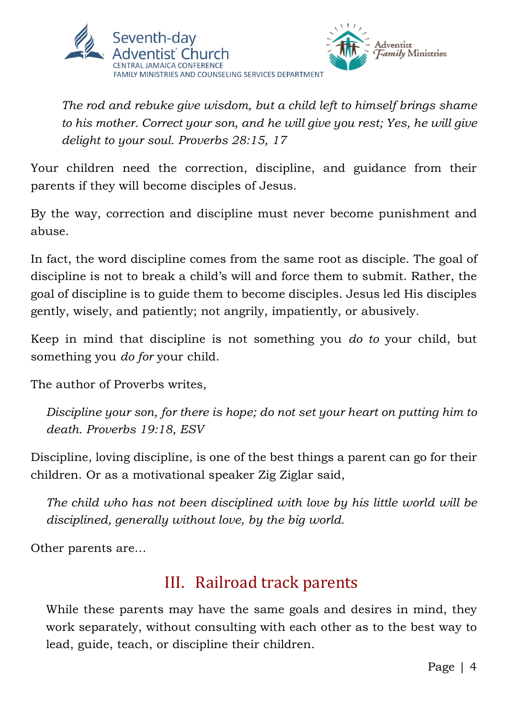



*The rod and rebuke give wisdom, but a child left to himself brings shame to his mother. Correct your son, and he will give you rest; Yes, he will give delight to your soul. Proverbs 28:15, 17*

Your children need the correction, discipline, and guidance from their parents if they will become disciples of Jesus.

By the way, correction and discipline must never become punishment and abuse.

In fact, the word discipline comes from the same root as disciple. The goal of discipline is not to break a child's will and force them to submit. Rather, the goal of discipline is to guide them to become disciples. Jesus led His disciples gently, wisely, and patiently; not angrily, impatiently, or abusively.

Keep in mind that discipline is not something you *do to* your child, but something you *do for* your child.

The author of Proverbs writes,

*Discipline your son, for there is hope; do not set your heart on putting him to death. Proverbs 19:18, ESV*

Discipline, loving discipline, is one of the best things a parent can go for their children. Or as a motivational speaker Zig Ziglar said,

*The child who has not been disciplined with love by his little world will be disciplined, generally without love, by the big world.*

Other parents are…

## III. Railroad track parents

While these parents may have the same goals and desires in mind, they work separately, without consulting with each other as to the best way to lead, guide, teach, or discipline their children.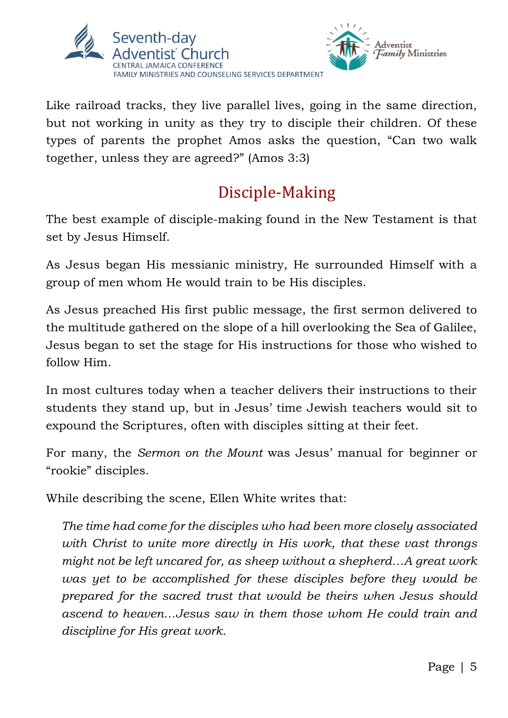



Like railroad tracks, they live parallel lives, going in the same direction, but not working in unity as they try to disciple their children. Of these types of parents the prophet Amos asks the question, "Can two walk together, unless they are agreed?" (Amos 3:3)

## Disciple-Making

The best example of disciple-making found in the New Testament is that set by Jesus Himself.

As Jesus began His messianic ministry, He surrounded Himself with a group of men whom He would train to be His disciples.

As Jesus preached His first public message, the first sermon delivered to the multitude gathered on the slope of a hill overlooking the Sea of Galilee, Jesus began to set the stage for His instructions for those who wished to follow Him.

In most cultures today when a teacher delivers their instructions to their students they stand up, but in Jesus' time Jewish teachers would sit to expound the Scriptures, often with disciples sitting at their feet.

For many, the *Sermon on the Mount* was Jesus' manual for beginner or "rookie" disciples.

While describing the scene, Ellen White writes that:

*The time had come for the disciples who had been more closely associated with Christ to unite more directly in His work, that these vast throngs might not be left uncared for, as sheep without a shepherd…A great work was yet to be accomplished for these disciples before they would be prepared for the sacred trust that would be theirs when Jesus should ascend to heaven…Jesus saw in them those whom He could train and discipline for His great work.*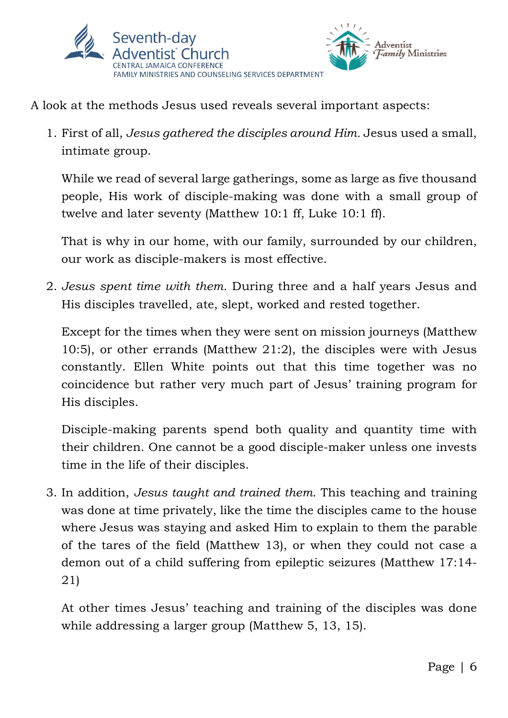



A look at the methods Jesus used reveals several important aspects:

1. First of all, *Jesus gathered the disciples around Him.* Jesus used a small, intimate group.

While we read of several large gatherings, some as large as five thousand people, His work of disciple-making was done with a small group of twelve and later seventy (Matthew 10:1 ff, Luke 10:1 ff).

That is why in our home, with our family, surrounded by our children, our work as disciple-makers is most effective.

2. *Jesus spent time with them.* During three and a half years Jesus and His disciples travelled, ate, slept, worked and rested together.

Except for the times when they were sent on mission journeys (Matthew 10:5), or other errands (Matthew 21:2), the disciples were with Jesus constantly. Ellen White points out that this time together was no coincidence but rather very much part of Jesus' training program for His disciples.

Disciple-making parents spend both quality and quantity time with their children. One cannot be a good disciple-maker unless one invests time in the life of their disciples.

3. In addition, *Jesus taught and trained them.* This teaching and training was done at time privately, like the time the disciples came to the house where Jesus was staying and asked Him to explain to them the parable of the tares of the field (Matthew 13), or when they could not case a demon out of a child suffering from epileptic seizures (Matthew 17:14- 21)

At other times Jesus' teaching and training of the disciples was done while addressing a larger group (Matthew 5, 13, 15).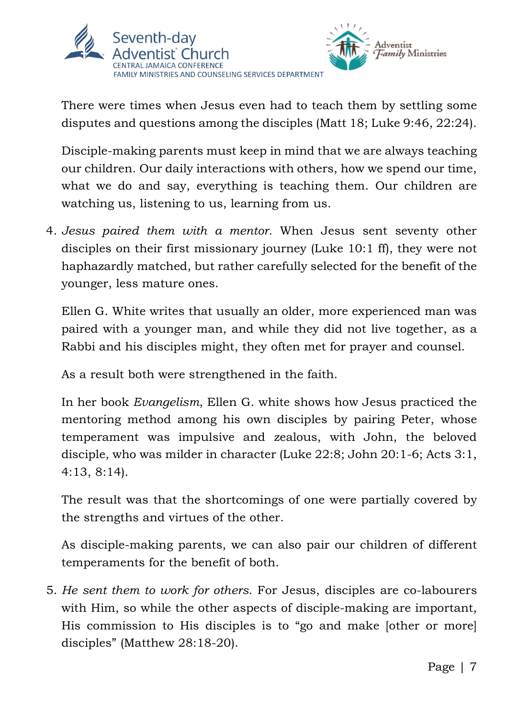

Adventist *Family Ministries* 

There were times when Jesus even had to teach them by settling some disputes and questions among the disciples (Matt 18; Luke 9:46, 22:24).

Disciple-making parents must keep in mind that we are always teaching our children. Our daily interactions with others, how we spend our time, what we do and say, everything is teaching them. Our children are watching us, listening to us, learning from us.

4. *Jesus paired them with a mentor.* When Jesus sent seventy other disciples on their first missionary journey (Luke 10:1 ff), they were not haphazardly matched, but rather carefully selected for the benefit of the younger, less mature ones.

Ellen G. White writes that usually an older, more experienced man was paired with a younger man, and while they did not live together, as a Rabbi and his disciples might, they often met for prayer and counsel.

As a result both were strengthened in the faith.

In her book *Evangelism*, Ellen G. white shows how Jesus practiced the mentoring method among his own disciples by pairing Peter, whose temperament was impulsive and zealous, with John, the beloved disciple, who was milder in character (Luke 22:8; John 20:1-6; Acts 3:1, 4:13, 8:14).

The result was that the shortcomings of one were partially covered by the strengths and virtues of the other.

As disciple-making parents, we can also pair our children of different temperaments for the benefit of both.

5. *He sent them to work for others.* For Jesus, disciples are co-labourers with Him, so while the other aspects of disciple-making are important, His commission to His disciples is to "go and make [other or more] disciples" (Matthew 28:18-20).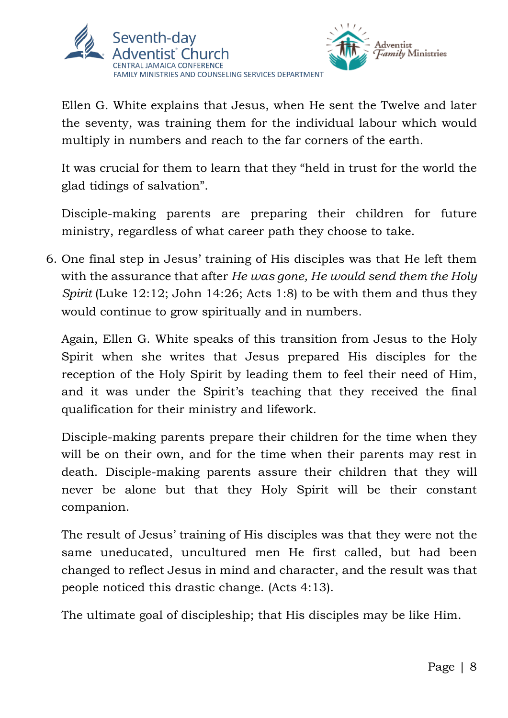

Adventist *Family Ministries* 

Ellen G. White explains that Jesus, when He sent the Twelve and later the seventy, was training them for the individual labour which would multiply in numbers and reach to the far corners of the earth.

It was crucial for them to learn that they "held in trust for the world the glad tidings of salvation".

Disciple-making parents are preparing their children for future ministry, regardless of what career path they choose to take.

6. One final step in Jesus' training of His disciples was that He left them with the assurance that after *He was gone, He would send them the Holy Spirit* (Luke 12:12; John 14:26; Acts 1:8) to be with them and thus they would continue to grow spiritually and in numbers.

Again, Ellen G. White speaks of this transition from Jesus to the Holy Spirit when she writes that Jesus prepared His disciples for the reception of the Holy Spirit by leading them to feel their need of Him, and it was under the Spirit's teaching that they received the final qualification for their ministry and lifework.

Disciple-making parents prepare their children for the time when they will be on their own, and for the time when their parents may rest in death. Disciple-making parents assure their children that they will never be alone but that they Holy Spirit will be their constant companion.

The result of Jesus' training of His disciples was that they were not the same uneducated, uncultured men He first called, but had been changed to reflect Jesus in mind and character, and the result was that people noticed this drastic change. (Acts 4:13).

The ultimate goal of discipleship; that His disciples may be like Him.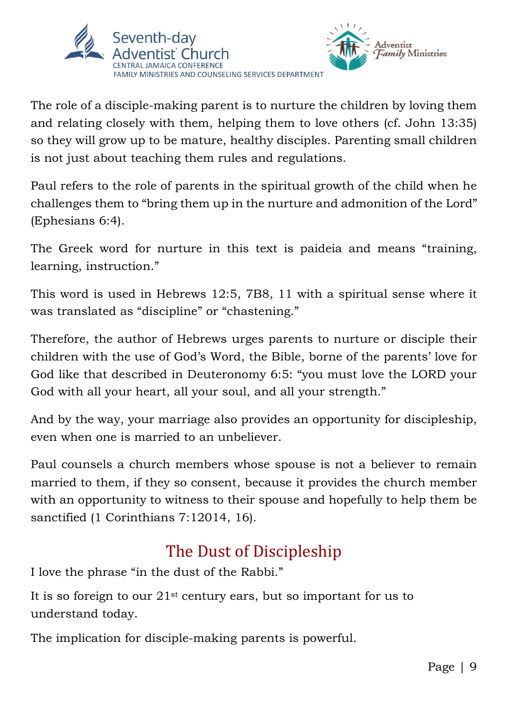



The role of a disciple-making parent is to nurture the children by loving them and relating closely with them, helping them to love others (cf. John 13:35) so they will grow up to be mature, healthy disciples. Parenting small children is not just about teaching them rules and regulations.

Paul refers to the role of parents in the spiritual growth of the child when he challenges them to "bring them up in the nurture and admonition of the Lord" (Ephesians 6:4).

The Greek word for nurture in this text is paideia and means "training, learning, instruction."

This word is used in Hebrews 12:5, 7B8, 11 with a spiritual sense where it was translated as "discipline" or "chastening."

Therefore, the author of Hebrews urges parents to nurture or disciple their children with the use of God's Word, the Bible, borne of the parents' love for God like that described in Deuteronomy 6:5: "you must love the LORD your God with all your heart, all your soul, and all your strength."

And by the way, your marriage also provides an opportunity for discipleship, even when one is married to an unbeliever.

Paul counsels a church members whose spouse is not a believer to remain married to them, if they so consent, because it provides the church member with an opportunity to witness to their spouse and hopefully to help them be sanctified (1 Corinthians 7:12014, 16).

# The Dust of Discipleship

I love the phrase "in the dust of the Rabbi."

It is so foreign to our 21st century ears, but so important for us to understand today.

The implication for disciple-making parents is powerful.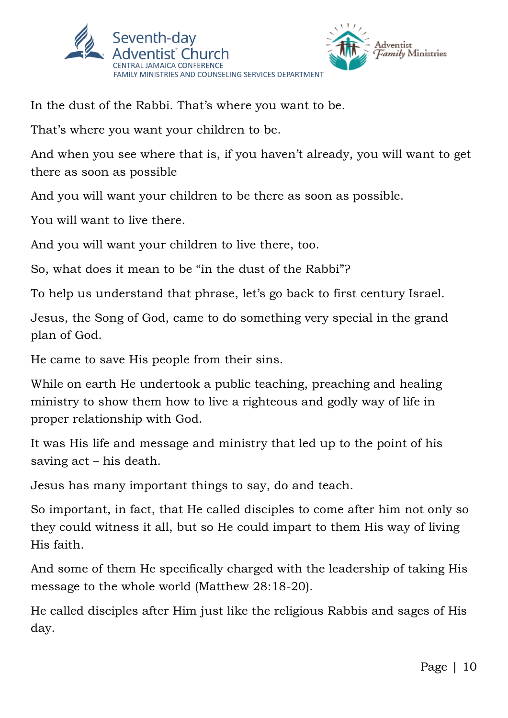



In the dust of the Rabbi. That's where you want to be.

That's where you want your children to be.

And when you see where that is, if you haven't already, you will want to get there as soon as possible

And you will want your children to be there as soon as possible.

You will want to live there.

And you will want your children to live there, too.

So, what does it mean to be "in the dust of the Rabbi"?

To help us understand that phrase, let's go back to first century Israel.

Jesus, the Song of God, came to do something very special in the grand plan of God.

He came to save His people from their sins.

While on earth He undertook a public teaching, preaching and healing ministry to show them how to live a righteous and godly way of life in proper relationship with God.

It was His life and message and ministry that led up to the point of his saving act – his death.

Jesus has many important things to say, do and teach.

So important, in fact, that He called disciples to come after him not only so they could witness it all, but so He could impart to them His way of living His faith.

And some of them He specifically charged with the leadership of taking His message to the whole world (Matthew 28:18-20).

He called disciples after Him just like the religious Rabbis and sages of His day.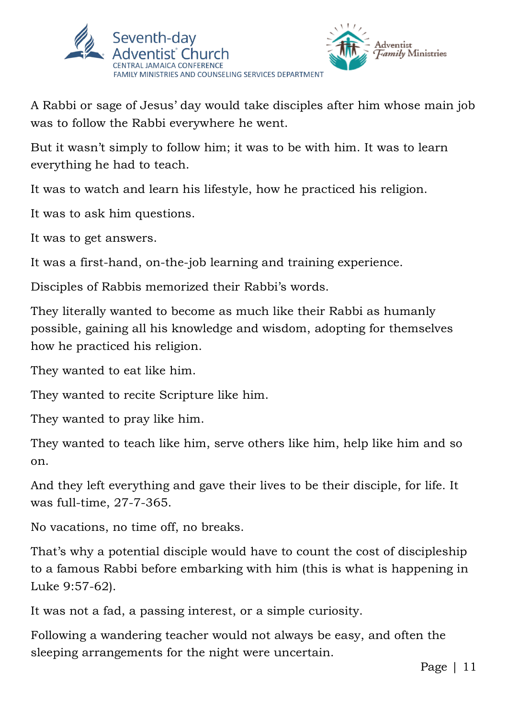



A Rabbi or sage of Jesus' day would take disciples after him whose main job was to follow the Rabbi everywhere he went.

But it wasn't simply to follow him; it was to be with him. It was to learn everything he had to teach.

It was to watch and learn his lifestyle, how he practiced his religion.

It was to ask him questions.

It was to get answers.

It was a first-hand, on-the-job learning and training experience.

Disciples of Rabbis memorized their Rabbi's words.

They literally wanted to become as much like their Rabbi as humanly possible, gaining all his knowledge and wisdom, adopting for themselves how he practiced his religion.

They wanted to eat like him.

They wanted to recite Scripture like him.

They wanted to pray like him.

They wanted to teach like him, serve others like him, help like him and so on.

And they left everything and gave their lives to be their disciple, for life. It was full-time, 27-7-365.

No vacations, no time off, no breaks.

That's why a potential disciple would have to count the cost of discipleship to a famous Rabbi before embarking with him (this is what is happening in Luke 9:57-62).

It was not a fad, a passing interest, or a simple curiosity.

Following a wandering teacher would not always be easy, and often the sleeping arrangements for the night were uncertain.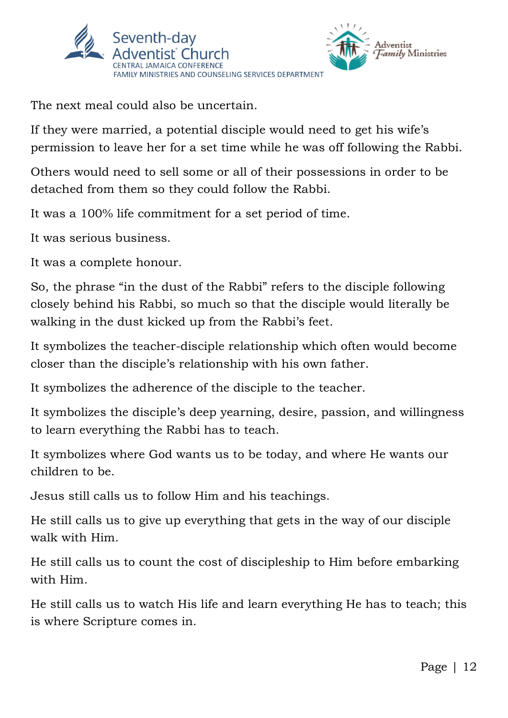



The next meal could also be uncertain.

If they were married, a potential disciple would need to get his wife's permission to leave her for a set time while he was off following the Rabbi.

Others would need to sell some or all of their possessions in order to be detached from them so they could follow the Rabbi.

It was a 100% life commitment for a set period of time.

It was serious business.

It was a complete honour.

So, the phrase "in the dust of the Rabbi" refers to the disciple following closely behind his Rabbi, so much so that the disciple would literally be walking in the dust kicked up from the Rabbi's feet.

It symbolizes the teacher-disciple relationship which often would become closer than the disciple's relationship with his own father.

It symbolizes the adherence of the disciple to the teacher.

It symbolizes the disciple's deep yearning, desire, passion, and willingness to learn everything the Rabbi has to teach.

It symbolizes where God wants us to be today, and where He wants our children to be.

Jesus still calls us to follow Him and his teachings.

He still calls us to give up everything that gets in the way of our disciple walk with Him.

He still calls us to count the cost of discipleship to Him before embarking with Him.

He still calls us to watch His life and learn everything He has to teach; this is where Scripture comes in.